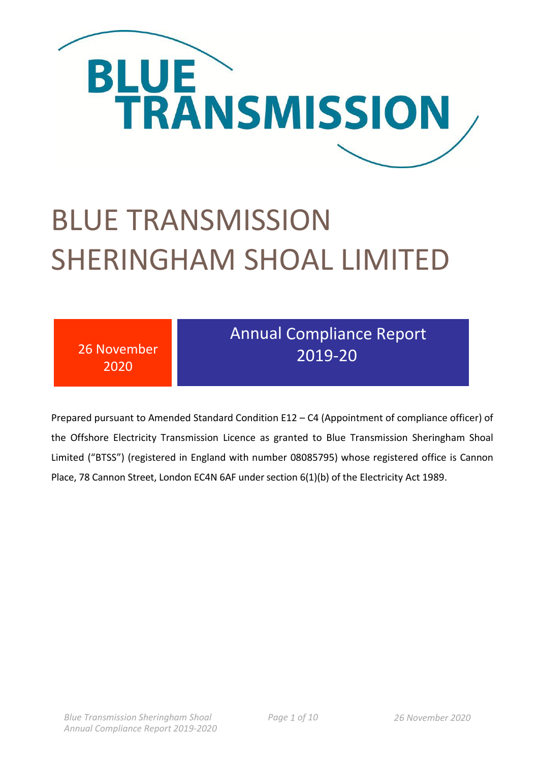

# BLUE TRANSMISSION SHERINGHAM SHOAL LIMITED

| Annual Compliance Report<br>26 November<br>2019-20<br>2020 |
|------------------------------------------------------------|
|------------------------------------------------------------|

Prepared pursuant to Amended Standard Condition E12 – C4 (Appointment of compliance officer) of the Offshore Electricity Transmission Licence as granted to Blue Transmission Sheringham Shoal Limited ("BTSS") (registered in England with number 08085795) whose registered office is Cannon Place, 78 Cannon Street, London EC4N 6AF undersection 6(1)(b) of the Electricity Act 1989.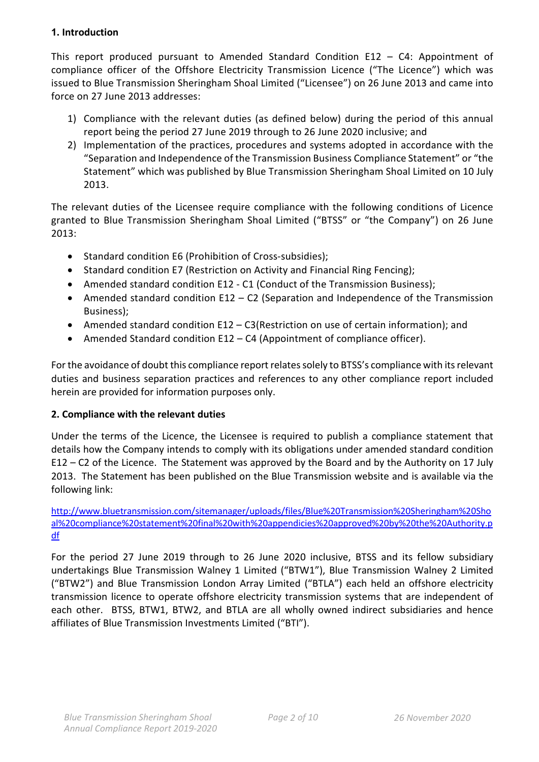#### **1. Introduction**

This report produced pursuant to Amended Standard Condition E12 – C4: Appointment of compliance officer of the Offshore Electricity Transmission Licence ("The Licence") which was issued to Blue Transmission Sheringham Shoal Limited ("Licensee") on 26 June 2013 and came into force on 27 June 2013 addresses:

- 1) Compliance with the relevant duties (as defined below) during the period of this annual report being the period 27 June 2019 through to 26 June 2020 inclusive; and
- 2) Implementation of the practices, procedures and systems adopted in accordance with the "Separation and Independence of the Transmission Business Compliance Statement" or "the Statement" which was published by Blue Transmission Sheringham Shoal Limited on 10 July 2013.

The relevant duties of the Licensee require compliance with the following conditions of Licence granted to Blue Transmission Sheringham Shoal Limited ("BTSS" or "the Company") on 26 June 2013:

- Standard condition E6 (Prohibition of Cross-subsidies);
- Standard condition E7 (Restriction on Activity and Financial Ring Fencing);
- Amended standard condition E12 C1 (Conduct of the Transmission Business);
- Amended standard condition E12 C2 (Separation and Independence of the Transmission Business);
- Amended standard condition E12 C3(Restriction on use of certain information); and
- Amended Standard condition E12 C4 (Appointment of compliance officer).

For the avoidance of doubt this compliance report relates solely to BTSS's compliance with its relevant duties and business separation practices and references to any other compliance report included herein are provided for information purposes only.

# **2. Compliance with the relevant duties**

Under the terms of the Licence, the Licensee is required to publish a compliance statement that details how the Company intends to comply with its obligations under amended standard condition E12 – C2 of the Licence. The Statement was approved by the Board and by the Authority on 17 July 2013. The Statement has been published on the Blue Transmission website and is available via the following link:

[http://www.bluetransmission.com/sitemanager/uploads/files/Blue%20Transmission%20Sheringham%20Sho](http://www.bluetransmission.com/sitemanager/uploads/files/Blue%20Transmission%20Sheringham%20Shoal%20compliance%20statement%20final%20with%20appendicies%20approved%20by%20the%20Authority.pdf) [al%20compliance%20statement%20final%20with%20appendicies%20approved%20by%20the%20Authority.p](http://www.bluetransmission.com/sitemanager/uploads/files/Blue%20Transmission%20Sheringham%20Shoal%20compliance%20statement%20final%20with%20appendicies%20approved%20by%20the%20Authority.pdf) [df](http://www.bluetransmission.com/sitemanager/uploads/files/Blue%20Transmission%20Sheringham%20Shoal%20compliance%20statement%20final%20with%20appendicies%20approved%20by%20the%20Authority.pdf)

For the period 27 June 2019 through to 26 June 2020 inclusive, BTSS and its fellow subsidiary undertakings Blue Transmission Walney 1 Limited ("BTW1"), Blue Transmission Walney 2 Limited ("BTW2") and Blue Transmission London Array Limited ("BTLA") each held an offshore electricity transmission licence to operate offshore electricity transmission systems that are independent of each other. BTSS, BTW1, BTW2, and BTLA are all wholly owned indirect subsidiaries and hence affiliates of Blue Transmission Investments Limited ("BTI").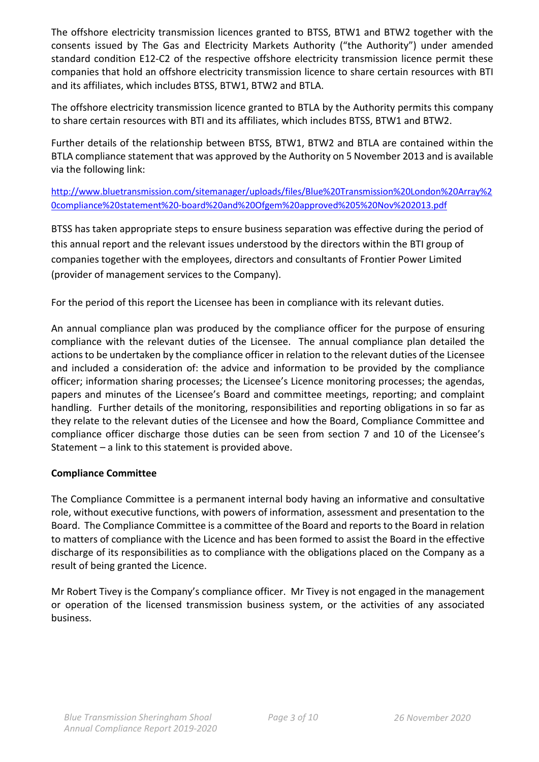The offshore electricity transmission licences granted to BTSS, BTW1 and BTW2 together with the consents issued by The Gas and Electricity Markets Authority ("the Authority") under amended standard condition E12-C2 of the respective offshore electricity transmission licence permit these companies that hold an offshore electricity transmission licence to share certain resources with BTI and its affiliates, which includes BTSS, BTW1, BTW2 and BTLA.

The offshore electricity transmission licence granted to BTLA by the Authority permits this company to share certain resources with BTI and its affiliates, which includes BTSS, BTW1 and BTW2.

Further details of the relationship between BTSS, BTW1, BTW2 and BTLA are contained within the BTLA compliance statement that was approved by the Authority on 5 November 2013 and is available via the following link:

[http://www.bluetransmission.com/sitemanager/uploads/files/Blue%20Transmission%20London%20Array%2](http://www.bluetransmission.com/sitemanager/uploads/files/Blue%20Transmission%20London%20Array%20compliance%20statement%20-board%20and%20Ofgem%20approved%205%20Nov%202013.pdf) [0compliance%20statement%20-board%20and%20Ofgem%20approved%205%20Nov%202013.pdf](http://www.bluetransmission.com/sitemanager/uploads/files/Blue%20Transmission%20London%20Array%20compliance%20statement%20-board%20and%20Ofgem%20approved%205%20Nov%202013.pdf)

BTSS has taken appropriate steps to ensure business separation was effective during the period of this annual report and the relevant issues understood by the directors within the BTI group of companies together with the employees, directors and consultants of Frontier Power Limited (provider of management services to the Company).

For the period of this report the Licensee has been in compliance with its relevant duties.

An annual compliance plan was produced by the compliance officer for the purpose of ensuring compliance with the relevant duties of the Licensee. The annual compliance plan detailed the actions to be undertaken by the compliance officer in relation to the relevant duties of the Licensee and included a consideration of: the advice and information to be provided by the compliance officer; information sharing processes; the Licensee's Licence monitoring processes; the agendas, papers and minutes of the Licensee's Board and committee meetings, reporting; and complaint handling. Further details of the monitoring, responsibilities and reporting obligations in so far as they relate to the relevant duties of the Licensee and how the Board, Compliance Committee and compliance officer discharge those duties can be seen from section 7 and 10 of the Licensee's Statement – a link to this statement is provided above.

#### **Compliance Committee**

The Compliance Committee is a permanent internal body having an informative and consultative role, without executive functions, with powers of information, assessment and presentation to the Board. The Compliance Committee is a committee of the Board and reports to the Board in relation to matters of compliance with the Licence and has been formed to assist the Board in the effective discharge of its responsibilities as to compliance with the obligations placed on the Company as a result of being granted the Licence.

Mr Robert Tivey is the Company's compliance officer. Mr Tivey is not engaged in the management or operation of the licensed transmission business system, or the activities of any associated business.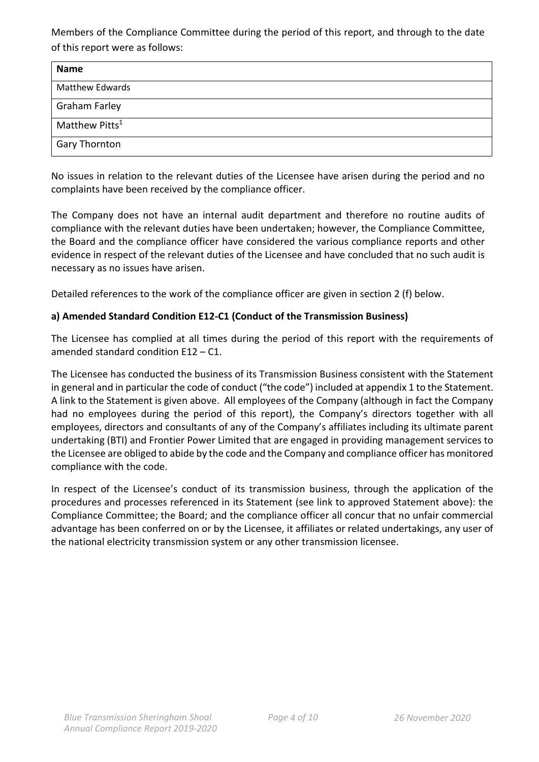Members of the Compliance Committee during the period of this report, and through to the date of this report were as follows:

| <b>Name</b>                |
|----------------------------|
| <b>Matthew Edwards</b>     |
| <b>Graham Farley</b>       |
| Matthew Pitts <sup>1</sup> |
| <b>Gary Thornton</b>       |

No issues in relation to the relevant duties of the Licensee have arisen during the period and no complaints have been received by the compliance officer.

The Company does not have an internal audit department and therefore no routine audits of compliance with the relevant duties have been undertaken; however, the Compliance Committee, the Board and the compliance officer have considered the various compliance reports and other evidence in respect of the relevant duties of the Licensee and have concluded that no such audit is necessary as no issues have arisen.

Detailed references to the work of the compliance officer are given in section 2 (f) below.

#### **a) Amended Standard Condition E12-C1 (Conduct of the Transmission Business)**

The Licensee has complied at all times during the period of this report with the requirements of amended standard condition E12 – C1.

The Licensee has conducted the business of its Transmission Business consistent with the Statement in general and in particular the code of conduct ("the code") included at appendix 1 to the Statement. A link to the Statement is given above. All employees of the Company (although in fact the Company had no employees during the period of this report), the Company's directors together with all employees, directors and consultants of any of the Company's affiliates including its ultimate parent undertaking (BTI) and Frontier Power Limited that are engaged in providing management services to the Licensee are obliged to abide by the code and the Company and compliance officer has monitored compliance with the code.

In respect of the Licensee's conduct of its transmission business, through the application of the procedures and processes referenced in its Statement (see link to approved Statement above): the Compliance Committee; the Board; and the compliance officer all concur that no unfair commercial advantage has been conferred on or by the Licensee, it affiliates or related undertakings, any user of the national electricity transmission system or any other transmission licensee.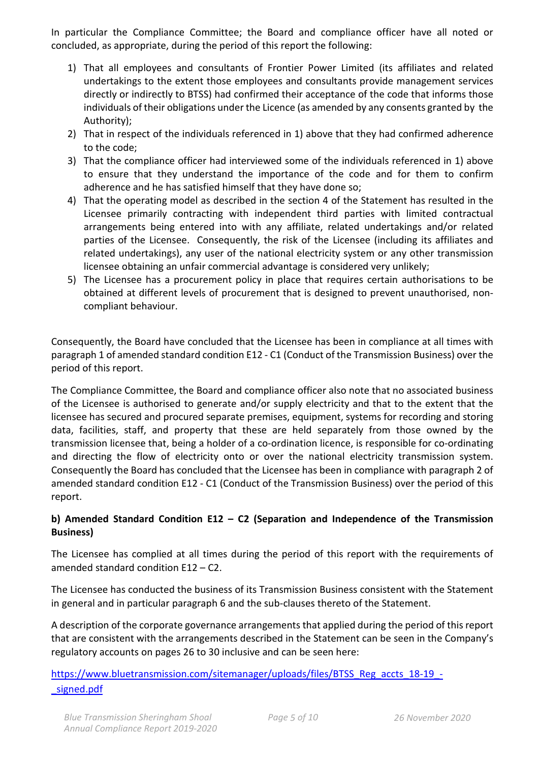In particular the Compliance Committee; the Board and compliance officer have all noted or concluded, as appropriate, during the period of this report the following:

- 1) That all employees and consultants of Frontier Power Limited (its affiliates and related undertakings to the extent those employees and consultants provide management services directly or indirectly to BTSS) had confirmed their acceptance of the code that informs those individuals of their obligations under the Licence (as amended by any consents granted by the Authority);
- 2) That in respect of the individuals referenced in 1) above that they had confirmed adherence to the code;
- 3) That the compliance officer had interviewed some of the individuals referenced in 1) above to ensure that they understand the importance of the code and for them to confirm adherence and he has satisfied himself that they have done so;
- 4) That the operating model as described in the section 4 of the Statement has resulted in the Licensee primarily contracting with independent third parties with limited contractual arrangements being entered into with any affiliate, related undertakings and/or related parties of the Licensee. Consequently, the risk of the Licensee (including its affiliates and related undertakings), any user of the national electricity system or any other transmission licensee obtaining an unfair commercial advantage is considered very unlikely;
- 5) The Licensee has a procurement policy in place that requires certain authorisations to be obtained at different levels of procurement that is designed to prevent unauthorised, noncompliant behaviour.

Consequently, the Board have concluded that the Licensee has been in compliance at all times with paragraph 1 of amended standard condition E12 - C1 (Conduct of the Transmission Business) over the period of this report.

The Compliance Committee, the Board and compliance officer also note that no associated business of the Licensee is authorised to generate and/or supply electricity and that to the extent that the licensee has secured and procured separate premises, equipment, systems for recording and storing data, facilities, staff, and property that these are held separately from those owned by the transmission licensee that, being a holder of a co-ordination licence, is responsible for co-ordinating and directing the flow of electricity onto or over the national electricity transmission system. Consequently the Board has concluded that the Licensee has been in compliance with paragraph 2 of amended standard condition E12 - C1 (Conduct of the Transmission Business) over the period of this report.

# **b) Amended Standard Condition E12 – C2 (Separation and Independence of the Transmission Business)**

The Licensee has complied at all times during the period of this report with the requirements of amended standard condition E12 – C2.

The Licensee has conducted the business of its Transmission Business consistent with the Statement in general and in particular paragraph 6 and the sub-clauses thereto of the Statement.

A description of the corporate governance arrangements that applied during the period of this report that are consistent with the arrangements described in the Statement can be seen in the Company's regulatory accounts on pages 26 to 30 inclusive and can be seen here:

# [https://www.bluetransmission.com/sitemanager/uploads/files/BTSS\\_Reg\\_accts\\_18-19\\_](https://www.bluetransmission.com/sitemanager/uploads/files/BTSS_Reg_accts_18-19_-_signed.pdf) signed.pdf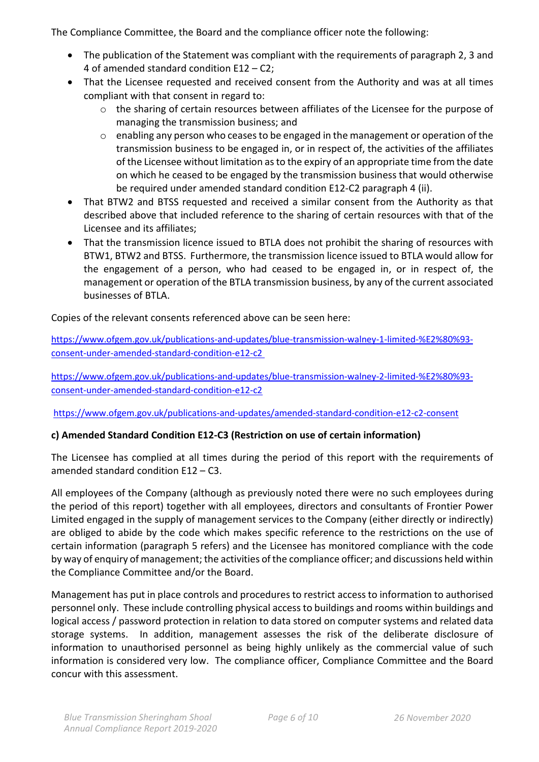The Compliance Committee, the Board and the compliance officer note the following:

- The publication of the Statement was compliant with the requirements of paragraph 2, 3 and 4 of amended standard condition E12 – C2;
- That the Licensee requested and received consent from the Authority and was at all times compliant with that consent in regard to:
	- $\circ$  the sharing of certain resources between affiliates of the Licensee for the purpose of managing the transmission business; and
	- o enabling any person who ceases to be engaged in the management or operation of the transmission business to be engaged in, or in respect of, the activities of the affiliates of the Licensee without limitation as to the expiry of an appropriate time from the date on which he ceased to be engaged by the transmission business that would otherwise be required under amended standard condition E12-C2 paragraph 4 (ii).
- That BTW2 and BTSS requested and received a similar consent from the Authority as that described above that included reference to the sharing of certain resources with that of the Licensee and its affiliates;
- That the transmission licence issued to BTLA does not prohibit the sharing of resources with BTW1, BTW2 and BTSS. Furthermore, the transmission licence issued to BTLA would allow for the engagement of a person, who had ceased to be engaged in, or in respect of, the management or operation of the BTLA transmission business, by any of the current associated businesses of BTLA.

Copies of the relevant consents referenced above can be seen here:

[https://www.ofgem.gov.uk/publications-and-updates/blue-transmission-walney-1-limited-%E2%80%93](https://www.ofgem.gov.uk/publications-and-updates/blue-transmission-walney-1-limited-%E2%80%93-consent-under-amended-standard-condition-e12-c2) [consent-under-amended-standard-condition-e12-c2](https://www.ofgem.gov.uk/publications-and-updates/blue-transmission-walney-1-limited-%E2%80%93-consent-under-amended-standard-condition-e12-c2)

[https://www.ofgem.gov.uk/publications-and-updates/blue-transmission-walney-2-limited-%E2%80%93](https://www.ofgem.gov.uk/publications-and-updates/blue-transmission-walney-2-limited-%E2%80%93-consent-under-amended-standard-condition-e12-c2) [consent-under-amended-standard-condition-e12-c2](https://www.ofgem.gov.uk/publications-and-updates/blue-transmission-walney-2-limited-%E2%80%93-consent-under-amended-standard-condition-e12-c2)

<https://www.ofgem.gov.uk/publications-and-updates/amended-standard-condition-e12-c2-consent>

# **c) Amended Standard Condition E12-C3 (Restriction on use of certain information)**

The Licensee has complied at all times during the period of this report with the requirements of amended standard condition E12 – C3.

All employees of the Company (although as previously noted there were no such employees during the period of this report) together with all employees, directors and consultants of Frontier Power Limited engaged in the supply of management services to the Company (either directly or indirectly) are obliged to abide by the code which makes specific reference to the restrictions on the use of certain information (paragraph 5 refers) and the Licensee has monitored compliance with the code by way of enquiry of management; the activities of the compliance officer; and discussions held within the Compliance Committee and/or the Board.

Management has put in place controls and procedures to restrict access to information to authorised personnel only. These include controlling physical access to buildings and rooms within buildings and logical access / password protection in relation to data stored on computer systems and related data storage systems. In addition, management assesses the risk of the deliberate disclosure of information to unauthorised personnel as being highly unlikely as the commercial value of such information is considered very low. The compliance officer, Compliance Committee and the Board concur with this assessment.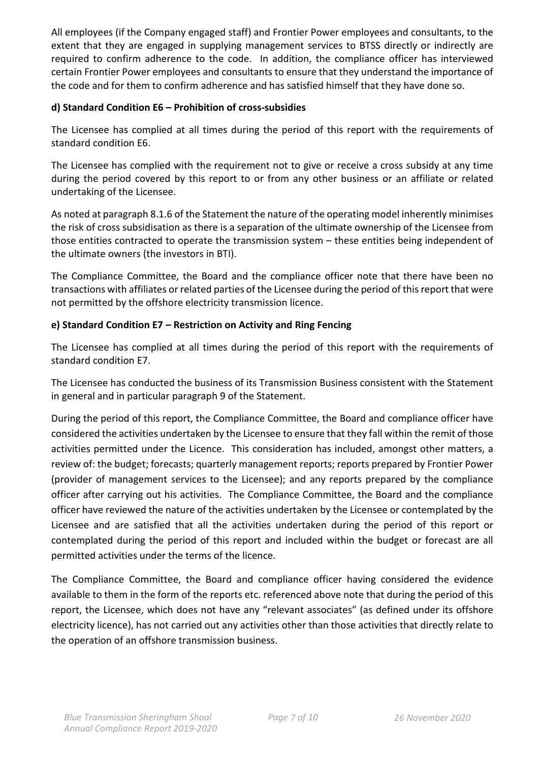All employees (if the Company engaged staff) and Frontier Power employees and consultants, to the extent that they are engaged in supplying management services to BTSS directly or indirectly are required to confirm adherence to the code. In addition, the compliance officer has interviewed certain Frontier Power employees and consultants to ensure that they understand the importance of the code and for them to confirm adherence and has satisfied himself that they have done so.

#### **d) Standard Condition E6 – Prohibition of cross-subsidies**

The Licensee has complied at all times during the period of this report with the requirements of standard condition E6.

The Licensee has complied with the requirement not to give or receive a cross subsidy at any time during the period covered by this report to or from any other business or an affiliate or related undertaking of the Licensee.

As noted at paragraph 8.1.6 of the Statement the nature of the operating model inherently minimises the risk of cross subsidisation as there is a separation of the ultimate ownership of the Licensee from those entities contracted to operate the transmission system – these entities being independent of the ultimate owners (the investors in BTI).

The Compliance Committee, the Board and the compliance officer note that there have been no transactions with affiliates or related parties of the Licensee during the period of this report that were not permitted by the offshore electricity transmission licence.

#### **e) Standard Condition E7 – Restriction on Activity and Ring Fencing**

The Licensee has complied at all times during the period of this report with the requirements of standard condition E7.

The Licensee has conducted the business of its Transmission Business consistent with the Statement in general and in particular paragraph 9 of the Statement.

During the period of this report, the Compliance Committee, the Board and compliance officer have considered the activities undertaken by the Licensee to ensure that they fall within the remit of those activities permitted under the Licence. This consideration has included, amongst other matters, a review of: the budget; forecasts; quarterly management reports; reports prepared by Frontier Power (provider of management services to the Licensee); and any reports prepared by the compliance officer after carrying out his activities. The Compliance Committee, the Board and the compliance officer have reviewed the nature of the activities undertaken by the Licensee or contemplated by the Licensee and are satisfied that all the activities undertaken during the period of this report or contemplated during the period of this report and included within the budget or forecast are all permitted activities under the terms of the licence.

The Compliance Committee, the Board and compliance officer having considered the evidence available to them in the form of the reports etc. referenced above note that during the period of this report, the Licensee, which does not have any "relevant associates" (as defined under its offshore electricity licence), has not carried out any activities other than those activities that directly relate to the operation of an offshore transmission business.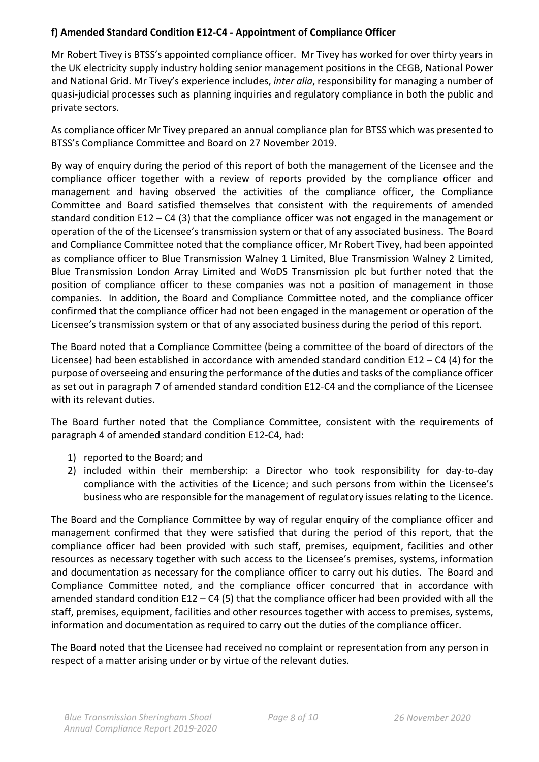#### **f) Amended Standard Condition E12-C4 - Appointment of Compliance Officer**

Mr Robert Tivey is BTSS's appointed compliance officer. Mr Tivey has worked for over thirty years in the UK electricity supply industry holding senior management positions in the CEGB, National Power and National Grid. Mr Tivey's experience includes, *inter alia*, responsibility for managing a number of quasi-judicial processes such as planning inquiries and regulatory compliance in both the public and private sectors.

As compliance officer Mr Tivey prepared an annual compliance plan for BTSS which was presented to BTSS's Compliance Committee and Board on 27 November 2019.

By way of enquiry during the period of this report of both the management of the Licensee and the compliance officer together with a review of reports provided by the compliance officer and management and having observed the activities of the compliance officer, the Compliance Committee and Board satisfied themselves that consistent with the requirements of amended standard condition E12 – C4 (3) that the compliance officer was not engaged in the management or operation of the of the Licensee's transmission system or that of any associated business. The Board and Compliance Committee noted that the compliance officer, Mr Robert Tivey, had been appointed as compliance officer to Blue Transmission Walney 1 Limited, Blue Transmission Walney 2 Limited, Blue Transmission London Array Limited and WoDS Transmission plc but further noted that the position of compliance officer to these companies was not a position of management in those companies. In addition, the Board and Compliance Committee noted, and the compliance officer confirmed that the compliance officer had not been engaged in the management or operation of the Licensee's transmission system or that of any associated business during the period of this report.

The Board noted that a Compliance Committee (being a committee of the board of directors of the Licensee) had been established in accordance with amended standard condition E12 – C4 (4) for the purpose of overseeing and ensuring the performance of the duties and tasks of the compliance officer as set out in paragraph 7 of amended standard condition E12-C4 and the compliance of the Licensee with its relevant duties.

The Board further noted that the Compliance Committee, consistent with the requirements of paragraph 4 of amended standard condition E12-C4, had:

- 1) reported to the Board; and
- 2) included within their membership: a Director who took responsibility for day-to-day compliance with the activities of the Licence; and such persons from within the Licensee's business who are responsible for the management of regulatory issues relating to the Licence.

The Board and the Compliance Committee by way of regular enquiry of the compliance officer and management confirmed that they were satisfied that during the period of this report, that the compliance officer had been provided with such staff, premises, equipment, facilities and other resources as necessary together with such access to the Licensee's premises, systems, information and documentation as necessary for the compliance officer to carry out his duties. The Board and Compliance Committee noted, and the compliance officer concurred that in accordance with amended standard condition E12 – C4 (5) that the compliance officer had been provided with all the staff, premises, equipment, facilities and other resources together with access to premises, systems, information and documentation as required to carry out the duties of the compliance officer.

The Board noted that the Licensee had received no complaint or representation from any person in respect of a matter arising under or by virtue of the relevant duties.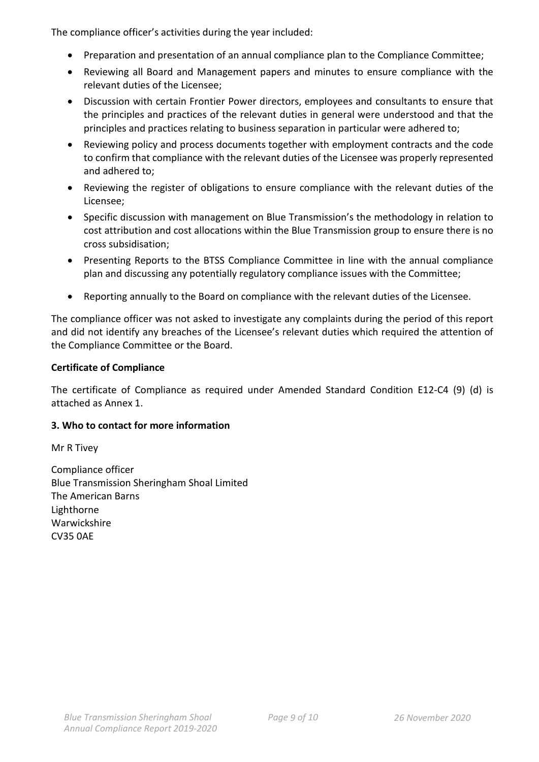The compliance officer's activities during the year included:

- Preparation and presentation of an annual compliance plan to the Compliance Committee;
- Reviewing all Board and Management papers and minutes to ensure compliance with the relevant duties of the Licensee;
- Discussion with certain Frontier Power directors, employees and consultants to ensure that the principles and practices of the relevant duties in general were understood and that the principles and practices relating to business separation in particular were adhered to;
- Reviewing policy and process documents together with employment contracts and the code to confirm that compliance with the relevant duties of the Licensee was properly represented and adhered to;
- Reviewing the register of obligations to ensure compliance with the relevant duties of the Licensee;
- Specific discussion with management on Blue Transmission's the methodology in relation to cost attribution and cost allocations within the Blue Transmission group to ensure there is no cross subsidisation;
- Presenting Reports to the BTSS Compliance Committee in line with the annual compliance plan and discussing any potentially regulatory compliance issues with the Committee;
- Reporting annually to the Board on compliance with the relevant duties of the Licensee.

The compliance officer was not asked to investigate any complaints during the period of this report and did not identify any breaches of the Licensee's relevant duties which required the attention of the Compliance Committee or the Board.

#### **Certificate of Compliance**

The certificate of Compliance as required under Amended Standard Condition E12-C4 (9) (d) is attached as Annex 1.

#### **3. Who to contact for more information**

Mr R Tivey

Compliance officer Blue Transmission Sheringham Shoal Limited The American Barns Lighthorne Warwickshire CV35 0AE